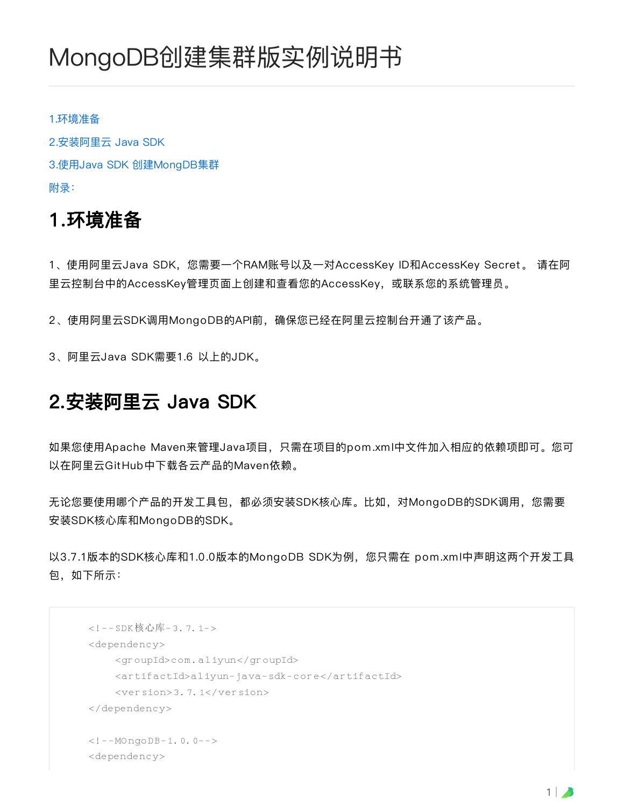# MongoDB创建集群版实例说明书

#### [1.环境准备](#page-0-0)

[2.安装阿⾥云 Java](#page-0-1) SDK 3.使⽤Java SDK [创建MongDB集群](#page-1-0) [附录:](#page-4-0)

#### <span id="page-0-0"></span>1.环境准备

1、使用阿里云Java SDK,您需要一个RAM账号以及一对AccessKey ID和AccessKey Secret。 请在阿 ⾥云控制台中的AccessKey管理⻚⾯上创建和查看您的AccessKey,或联系您的系统管理员。

2、使用阿里云SDK调用MongoDB的API前,确保您已经在阿里云控制台开通了该产品。

3、阿⾥云Java SDK需要1.6 以上的JDK。

## <span id="page-0-1"></span>2.安装阿⾥云 Java SDK

如果您使用Apache Maven来管理Java项目,只需在项目的pom.xml中文件加入相应的依赖项即可。您可 以在阿⾥云GitHub中下载各云产品的Maven依赖。

无论您要使用哪个产品的开发工具包,都必须安装SDK核心库。比如,对MongoDB的SDK调用,您需要 安装SDK核⼼库和MongoDB的SDK。

以3.7.1版本的SDK核心库和1.0.0版本的MongoDB SDK为例, 您只需在 pom.xml中声明这两个开发工具 包,如下所示:

```
<!--SDK核心库-3.7.1->
<dependency>
    <groupId>com.aliyun</groupId>
    <artifactId>aliyun-java-sdk-core</artifactId>
    <version>3.7.1</version>
</dependency>
<!--MOngoDB-1.0.0-->
<dependency>
```
 $1 \mid \lambda$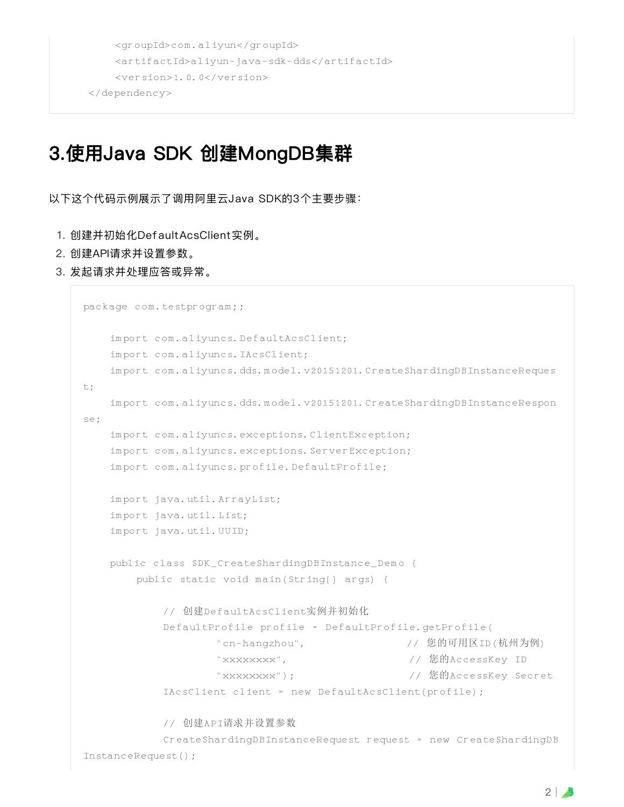```
<groupId>com.aliyun</groupId>
    <artifactId>aliyun-java-sdk-dds</artifactId>
    <version>1.0.0</version>
</dependency>
```
### <span id="page-1-0"></span>3.使⽤Java SDK 创建MongDB集群

以下这个代码示例展示了调⽤阿⾥云Java SDK的3个主要步骤:

- 1. 创建并初始化Def aultAcsClient实例。
- 2. 创建API请求并设置参数。
- 3. 发起请求并处理应答或异常。

```
package com.testprogram;;
   import com.aliyuncs.DefaultAcsClient;
   import com.aliyuncs.IAcsClient;
   import com.aliyuncs.dds.model.v20151201.CreateShardingDBInstanceReques
t;
   import com.aliyuncs.dds.model.v20151201.CreateShardingDBInstanceRespon
se;
   import com.aliyuncs.exceptions.ClientException;
   import com.aliyuncs.exceptions. ServerException;
   import com.aliyuncs.profile.DefaultProfile;
   import java.util.ArrayList;
   import java.util.List;
   import java.util.UUID;
   public class SDK_CreateShardingDBInstance_Demo {
       public static void main(String[] args) {
           // 创建DefaultAcsClient实例并初始化
           DefaultProfile profile = DefaultProfile.getProfile(
                   "cn-hangzhou", // 您的可用区ID(杭州为例)
                   "xxxxxxxx", // 您的AccessKey ID
                   "xxxxxxxx"); // 您的AccessKey Secret
           IAcsClient client = new DefaultAcsClient(profile);
           // 创建API请求并设置参数
           CreateShardingDBInstanceRequest request = new CreateShardingDB
InstanceRequest();
```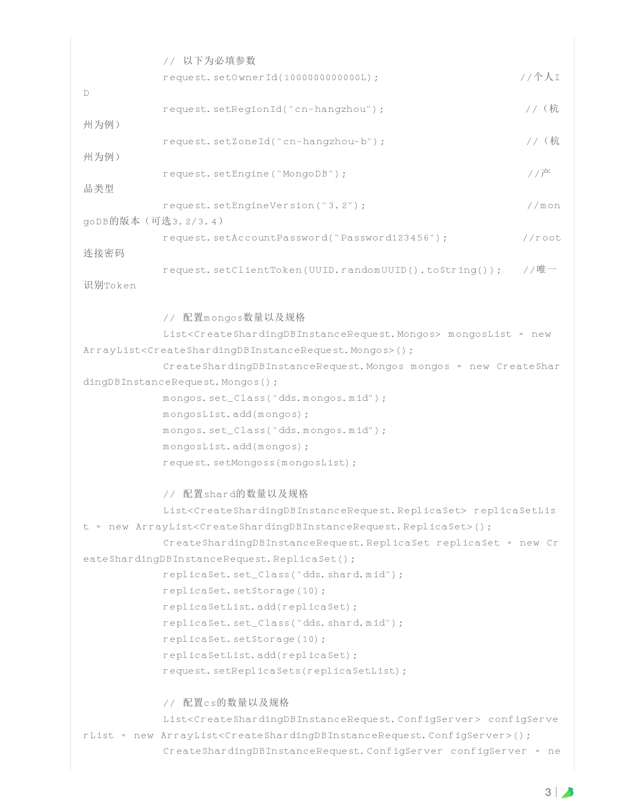// 以下为必填参数 request.setOwnerId(1000000000000L); //个人I D request.setRegionId("cn-hangzhou"); //(杭 州为例) request.setZoneId("cn-hangzhou-b"); //(杭 州为例) request.setEngine("MongoDB"); //产 品类型 request.setEngineVersion("3.2"); //mon goDB的版本(可选3.2/3.4) request.setAccountPassword("Password123456"); //root 连接密码 request.setClientToken(UUID.randomUUID().toString()); //唯一 识别Token // 配置mongos数量以及规格 List<CreateShardingDBInstanceRequest.Mongos> mongosList = new ArrayList<CreateShardingDBInstanceRequest.Mongos>(); CreateShardingDBInstanceRequest.Mongos mongos = new CreateShar dingDBInstanceRequest.Mongos(); mongos.set\_Class("dds.mongos.mid"); mongosList.add(mongos); mongos.set\_Class("dds.mongos.mid"); mongosList.add(mongos); request.setMongoss(mongosList); // 配置shard的数量以及规格 List<CreateShardingDBInstanceRequest.ReplicaSet> replicaSetLis t = new ArrayList<CreateShardingDBInstanceRequest.ReplicaSet>(); CreateShardingDBInstanceRequest.ReplicaSet replicaSet = new Cr eateShardingDBInstanceRequest.ReplicaSet(); replicaSet.set\_Class("dds.shard.mid"); replicaSet.setStorage(10); replicaSetList.add(replicaSet); replicaSet.set\_Class("dds.shard.mid"); replicaSet.setStorage(10); replicaSetList.add(replicaSet); request.setReplicaSets(replicaSetList); // 配置cs的数量以及规格 List<CreateShardingDBInstanceRequest.ConfigServer> configServe rList = new ArrayList<CreateShardingDBInstanceRequest.ConfigServer>(); CreateShardingDBInstanceRequest.ConfigServer configServer = ne

 $3 \mid \bullet$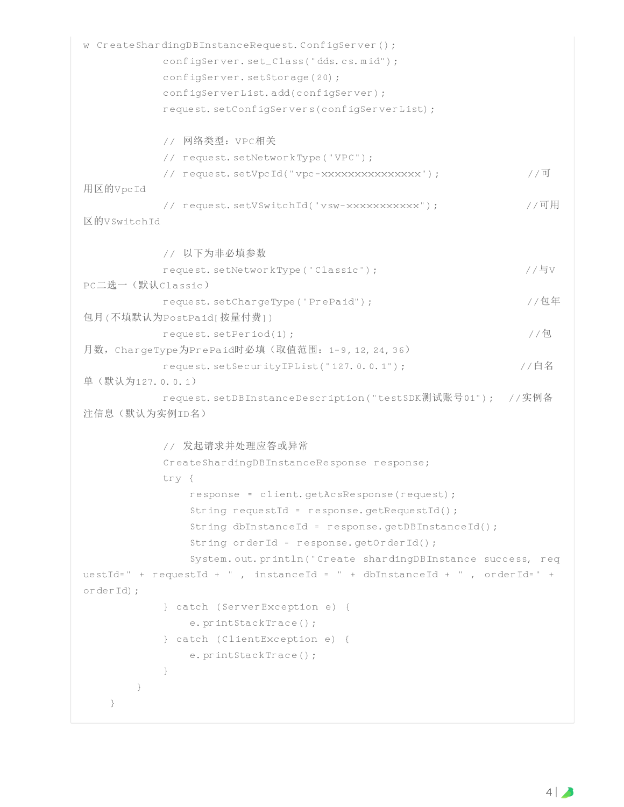```
w CreateShardingDBInstanceRequest.ConfigServer();
           configServer.set_Class("dds.cs.mid");
           configServer.setStorage(20);
           configServerList.add(configServer);
           request.setConfigServers(configServerList);
          // 网络类型:VPC相关
          // request.setNetworkType("VPC");
          // request.setVpcId("vpc-xxxxxxxxxxxxxxx"); //可
用区的VpcId
          // request.setVSwitchId("vsw-xxxxxxxxxxx"); //可用
区的VSwitchTd
          // 以下为非必填参数
          request.setNetworkType("Classic"); //与V
PC二选一(默认Classic)
          request.setChargeType("PrePaid"); //包年
包月(不填默认为PostPaid[按量付费])
          request.setPeriod(1); //包
月数, ChargeType为PrePaid时必填(取值范围: 1-9,12,24,36)
          request.setSecurityIPList("127.0.0.1"); //白名
单(默认为127.0.0.1)
           request.setDBInstanceDescription("testSDK测试账号01"); //实例备
注信息(默认为实例ID名)
          // 发起请求并处理应答或异常
           CreateShardingDBInstanceResponse response;
           try {
              response = client.getAcsResponse(request);
              String requestId = response.getRequestId();
              String dbInstanceId = response.getDBInstanceId();
              String orderId = response.getOrderId();
              System.out.println("Create shardingDBInstance success, req
uestId=" + requestId + " , instanceId = " + dbInstanceId + " , orderId=" +
orderId);
           } catch (ServerException e) {
              e.printStackTrace();
           } catch (ClientException e) {
              e.printStackTrace();
          }
      }
   }
```
 $4 \mid \blacktriangle$